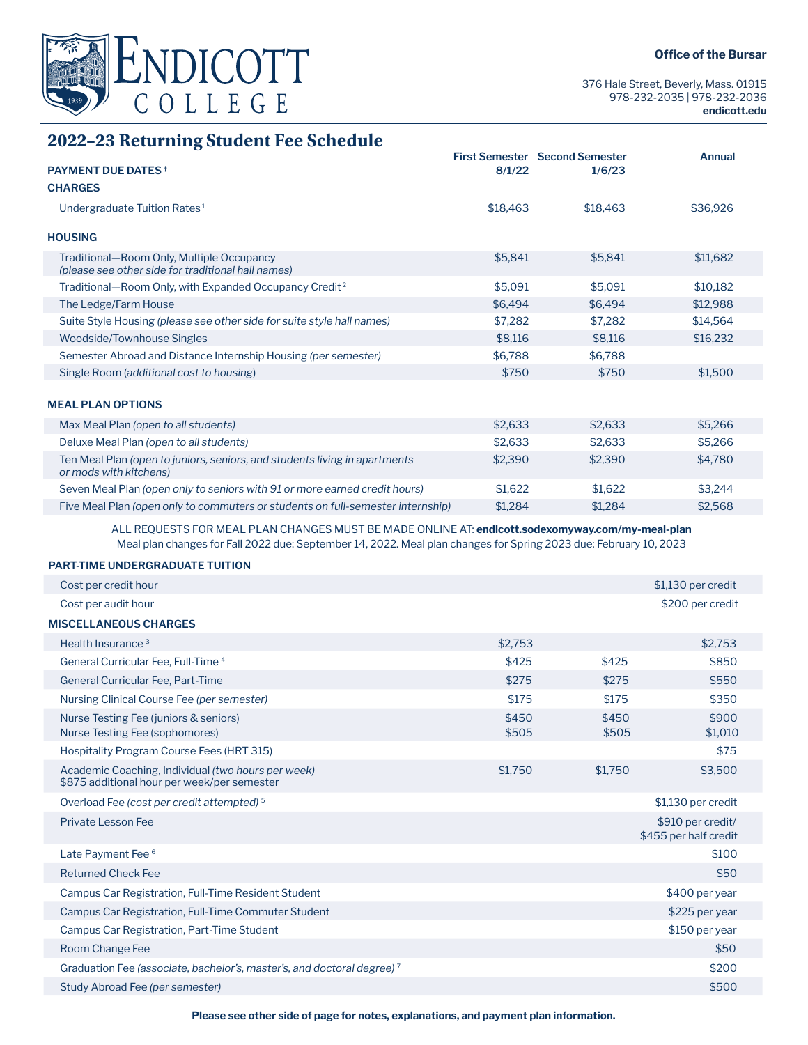

376 Hale Street, Beverly, Mass. 01915 978-232-2035 | 978-232-2036 **endicott.edu**

# **2022–23 Returning Student Fee Schedule**

| <b>PAYMENT DUE DATES</b> <sup>+</sup>                                                                | 8/1/22   | <b>First Semester</b> Second Semester<br>1/6/23 | <b>Annual</b> |
|------------------------------------------------------------------------------------------------------|----------|-------------------------------------------------|---------------|
| <b>CHARGES</b>                                                                                       |          |                                                 |               |
|                                                                                                      |          |                                                 |               |
| Undergraduate Tuition Rates <sup>1</sup>                                                             | \$18,463 | \$18,463                                        | \$36,926      |
| <b>HOUSING</b>                                                                                       |          |                                                 |               |
| Traditional-Room Only, Multiple Occupancy<br>(please see other side for traditional hall names)      | \$5,841  | \$5,841                                         | \$11,682      |
| Traditional-Room Only, with Expanded Occupancy Credit <sup>2</sup>                                   | \$5,091  | \$5,091                                         | \$10,182      |
| The Ledge/Farm House                                                                                 | \$6,494  | \$6,494                                         | \$12,988      |
| Suite Style Housing (please see other side for suite style hall names)                               | \$7,282  | \$7,282                                         | \$14,564      |
| Woodside/Townhouse Singles                                                                           | \$8,116  | \$8,116                                         | \$16,232      |
| Semester Abroad and Distance Internship Housing (per semester)                                       | \$6,788  | \$6,788                                         |               |
| Single Room (additional cost to housing)                                                             | \$750    | \$750                                           | \$1,500       |
|                                                                                                      |          |                                                 |               |
| <b>MEAL PLAN OPTIONS</b>                                                                             |          |                                                 |               |
| Max Meal Plan (open to all students)                                                                 | \$2,633  | \$2,633                                         | \$5,266       |
| Deluxe Meal Plan (open to all students)                                                              | \$2,633  | \$2,633                                         | \$5,266       |
| Ten Meal Plan (open to juniors, seniors, and students living in apartments<br>or mods with kitchens) | \$2,390  | \$2,390                                         | \$4,780       |
| Seven Meal Plan (open only to seniors with 91 or more earned credit hours)                           | \$1,622  | \$1,622                                         | \$3,244       |
| Five Meal Plan (open only to commuters or students on full-semester internship)                      | \$1,284  | \$1,284                                         | \$2,568       |
|                                                                                                      |          |                                                 |               |

ALL REQUESTS FOR MEAL PLAN CHANGES MUST BE MADE ONLINE AT: **endicott.sodexomyway.com/my-meal-plan** Meal plan changes for Fall 2022 due: September 14, 2022. Meal plan changes for Spring 2023 due: February 10, 2023

### **PART-TIME UNDERGRADUATE TUITION**

| Cost per credit hour                                                                              |                |                | \$1,130 per credit                         |
|---------------------------------------------------------------------------------------------------|----------------|----------------|--------------------------------------------|
| Cost per audit hour                                                                               |                |                | \$200 per credit                           |
| <b>MISCELLANEOUS CHARGES</b>                                                                      |                |                |                                            |
| Health Insurance <sup>3</sup>                                                                     | \$2,753        |                | \$2.753                                    |
| General Curricular Fee, Full-Time <sup>4</sup>                                                    | \$425          | \$425          | \$850                                      |
| <b>General Curricular Fee, Part-Time</b>                                                          | \$275          | \$275          | \$550                                      |
| Nursing Clinical Course Fee (per semester)                                                        | \$175          | \$175          | \$350                                      |
| Nurse Testing Fee (juniors & seniors)<br>Nurse Testing Fee (sophomores)                           | \$450<br>\$505 | \$450<br>\$505 | \$900<br>\$1,010                           |
| Hospitality Program Course Fees (HRT 315)                                                         |                |                | \$75                                       |
| Academic Coaching, Individual (two hours per week)<br>\$875 additional hour per week/per semester | \$1,750        | \$1,750        | \$3,500                                    |
| Overload Fee (cost per credit attempted) <sup>5</sup>                                             |                |                | \$1,130 per credit                         |
| Private Lesson Fee                                                                                |                |                | \$910 per credit/<br>\$455 per half credit |
| Late Payment Fee <sup>6</sup>                                                                     |                |                | \$100                                      |
| <b>Returned Check Fee</b>                                                                         |                |                | \$50                                       |
| Campus Car Registration, Full-Time Resident Student                                               |                |                | \$400 per year                             |
| Campus Car Registration, Full-Time Commuter Student                                               |                |                | \$225 per year                             |
| Campus Car Registration, Part-Time Student                                                        |                |                | \$150 per year                             |
| Room Change Fee                                                                                   |                |                | \$50                                       |
| Graduation Fee (associate, bachelor's, master's, and doctoral degree) <sup>7</sup>                |                |                | \$200                                      |
| Study Abroad Fee (per semester)                                                                   |                |                | \$500                                      |
|                                                                                                   |                |                |                                            |

**Please see other side of page for notes, explanations, and payment plan information.**